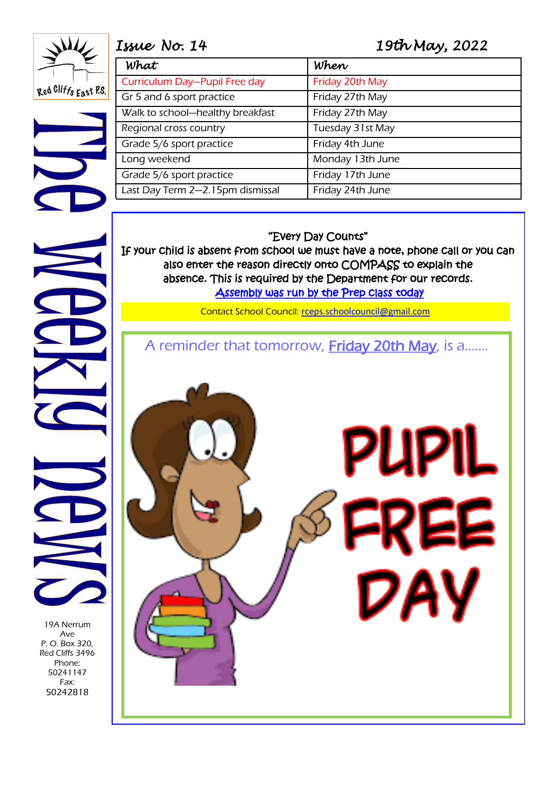Red Cliffs East P.S.

# *Issue No. 14 19th May, 2022*

| What                             | When             |
|----------------------------------|------------------|
| Curriculum Day-Pupil Free day    | Friday 20th May  |
| Gr 5 and 6 sport practice        | Friday 27th May  |
| Walk to school-healthy breakfast | Friday 27th May  |
| Regional cross country           | Tuesday 31st May |
| Grade 5/6 sport practice         | Friday 4th June  |
| Long weekend                     | Monday 13th June |
| Grade 5/6 sport practice         | Friday 17th June |
| Last Day Term 2-2.15pm dismissal | Friday 24th June |

#### "Every Day Counts"

If your child is absent from school we must have a note, phone call or you can also enter the reason directly onto COMPASS to explain the absence. This is required by the Department for our records. Assembly was run by the Prep class today

Contact School Council: [rceps.schoolcouncil@gmail.com](mailto:rceps.schoolcouncil@gmail.com)

A reminder that tomorrow, Friday 20th May, is a.......



19A Nerrum Ave P. O. Box 320, Red Cliffs 3496 Phone: 50241147 Fax: 50242818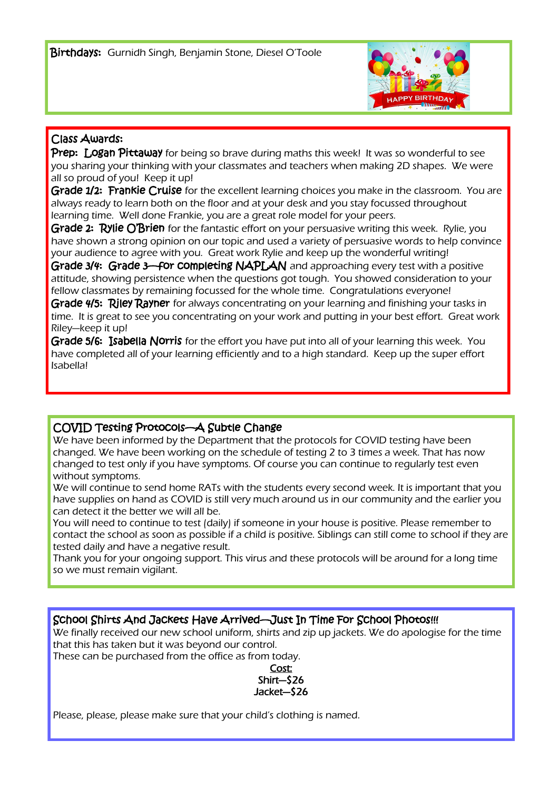

### Class Awards:

Prep: Logan Pittaway for being so brave during maths this week! It was so wonderful to see you sharing your thinking with your classmates and teachers when making 2D shapes. We were all so proud of you! Keep it up!

Grade 1/2: Frankie Cruise for the excellent learning choices you make in the classroom. You are always ready to learn both on the floor and at your desk and you stay focussed throughout learning time. Well done Frankie, you are a great role model for your peers.

Grade 2: Rylie O'Brien for the fantastic effort on your persuasive writing this week. Rylie, you have shown a strong opinion on our topic and used a variety of persuasive words to help convince your audience to agree with you. Great work Rylie and keep up the wonderful writing!

Grade 3/4: Grade 3—for completing NAPLAN and approaching every test with a positive attitude, showing persistence when the questions got tough. You showed consideration to your fellow classmates by remaining focussed for the whole time. Congratulations everyone!

Grade 4/5: Riley Rayner for always concentrating on your learning and finishing your tasks in time. It is great to see you concentrating on your work and putting in your best effort. Great work Riley—keep it up!

Grade 5/6: Isabella Norris for the effort you have put into all of your learning this week. You have completed all of your learning efficiently and to a high standard. Keep up the super effort Isabella!

## COVID Testing Protocols—A Subtle Change

We have been informed by the Department that the protocols for COVID testing have been changed. We have been working on the schedule of testing 2 to 3 times a week. That has now changed to test only if you have symptoms. Of course you can continue to regularly test even without symptoms.

We will continue to send home RATs with the students every second week. It is important that you have supplies on hand as COVID is still very much around us in our community and the earlier you can detect it the better we will all be.

You will need to continue to test (daily) if someone in your house is positive. Please remember to contact the school as soon as possible if a child is positive. Siblings can still come to school if they are tested daily and have a negative result.

Thank you for your ongoing support. This virus and these protocols will be around for a long time so we must remain vigilant.

School Shirts And Jackets Have Arrived—Just In Time For School Photos!!!

We finally received our new school uniform, shirts and zip up jackets. We do apologise for the time that this has taken but it was beyond our control.

These can be purchased from the office as from today.



Please, please, please make sure that your child's clothing is named.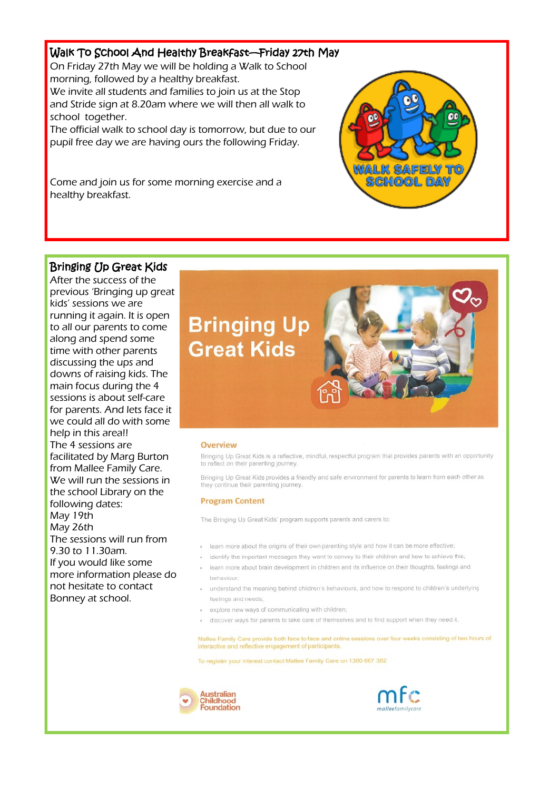### Walk To School And Healthy Breakfast—Friday 27th May

On Friday 27th May we will be holding a Walk to School morning, followed by a healthy breakfast. We invite all students and families to join us at the Stop and Stride sign at 8.20am where we will then all walk to school together.

The official walk to school day is tomorrow, but due to our pupil free day we are having ours the following Friday.

Come and join us for some morning exercise and a healthy breakfast.

#### Bringing Up Great Kids

After the success of the previous 'Bringing up great kids' sessions we are running it again. It is open to all our parents to come along and spend some time with other parents discussing the ups and downs of raising kids. The main focus during the 4 sessions is about self-care for parents. And lets face it we could all do with some help in this area!! The 4 sessions are facilitated by Marg Burton from Mallee Family Care. We will run the sessions in the school Library on the following dates: May 19th May 26th The sessions will run from 9.30 to 11.30am. If you would like some more information please do not hesitate to contact Bonney at school.



രേജരെഖ രമ

#### Overview

Bringing Up Great Kids is a reflective, mindful, respectful program that provides parents with an opportunity to reflect on their parenting journey

Bringing Up Great Kids provides a friendly and safe environment for parents to learn from each other as they continue their parenting journey

#### **Program Content**

The Bringing Up Great Kids' program supports parents and carers to:

- · learn more about the origins of their own parenting style and how it can be more effective;
- · identify the important messages they want to convey to their children and how to achieve this;
- . learn more about brain development in children and its influence on their thoughts, feelings and behaviour
- . understand the meaning behind children's behaviours, and how to respond to children's underlying feelings and needs:
- · explore new ways of communicating with children:
- · discover ways for parents to take care of themselves and to find support when they need it.

Mallee Family Care provide both face to face and online sessions over four weeks consisting of two hours of interactive and reflective engagement of participants.

To register your interest contact Mallee Family Care on 1300 667 382